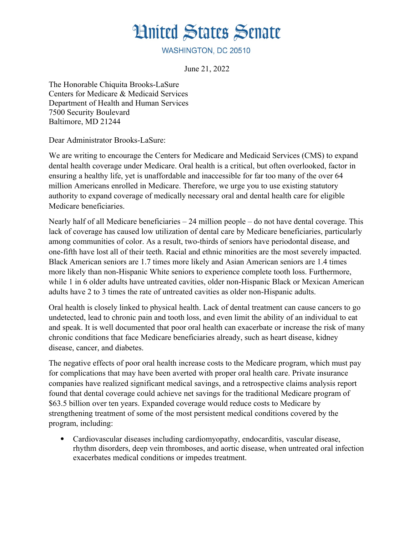## **Hnited States Senate**

WASHINGTON, DC 20510

June 21, 2022

The Honorable Chiquita Brooks-LaSure Centers for Medicare & Medicaid Services Department of Health and Human Services 7500 Security Boulevard Baltimore, MD 21244

Dear Administrator Brooks-LaSure:

We are writing to encourage the Centers for Medicare and Medicaid Services (CMS) to expand dental health coverage under Medicare. Oral health is a critical, but often overlooked, factor in ensuring a healthy life, yet is unaffordable and inaccessible for far too many of the over 64 million Americans enrolled in Medicare. Therefore, we urge you to use existing statutory authority to expand coverage of medically necessary oral and dental health care for eligible Medicare beneficiaries.

Nearly half of all Medicare beneficiaries – 24 million people – do not have dental coverage. This lack of coverage has caused low utilization of dental care by Medicare beneficiaries, particularly among communities of color. As a result, two-thirds of seniors have periodontal disease, and one-fifth have lost all of their teeth. Racial and ethnic minorities are the most severely impacted. Black American seniors are 1.7 times more likely and Asian American seniors are 1.4 times more likely than non-Hispanic White seniors to experience complete tooth loss. Furthermore, while 1 in 6 older adults have untreated cavities, older non-Hispanic Black or Mexican American adults have 2 to 3 times the rate of untreated cavities as older non-Hispanic adults.

Oral health is closely linked to physical health. Lack of dental treatment can cause cancers to go undetected, lead to chronic pain and tooth loss, and even limit the ability of an individual to eat and speak. It is well documented that poor oral health can exacerbate or increase the risk of many chronic conditions that face Medicare beneficiaries already, such as heart disease, kidney disease, cancer, and diabetes.

The negative effects of poor oral health increase costs to the Medicare program, which must pay for complications that may have been averted with proper oral health care. Private insurance companies have realized significant medical savings, and a retrospective claims analysis report found that dental coverage could achieve net savings for the traditional Medicare program of \$63.5 billion over ten years. Expanded coverage would reduce costs to Medicare by strengthening treatment of some of the most persistent medical conditions covered by the program, including:

 Cardiovascular diseases including cardiomyopathy, endocarditis, vascular disease, rhythm disorders, deep vein thromboses, and aortic disease, when untreated oral infection exacerbates medical conditions or impedes treatment.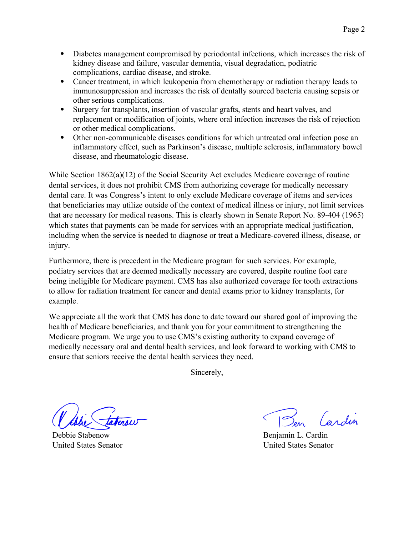- Diabetes management compromised by periodontal infections, which increases the risk of kidney disease and failure, vascular dementia, visual degradation, podiatric complications, cardiac disease, and stroke.
- Cancer treatment, in which leukopenia from chemotherapy or radiation therapy leads to immunosuppression and increases the risk of dentally sourced bacteria causing sepsis or other serious complications.
- Surgery for transplants, insertion of vascular grafts, stents and heart valves, and replacement or modification of joints, where oral infection increases the risk of rejection or other medical complications.
- Other non-communicable diseases conditions for which untreated oral infection pose an inflammatory effect, such as Parkinson's disease, multiple sclerosis, inflammatory bowel disease, and rheumatologic disease.

While Section  $1862(a)(12)$  of the Social Security Act excludes Medicare coverage of routine dental services, it does not prohibit CMS from authorizing coverage for medically necessary dental care. It was Congress's intent to only exclude Medicare coverage of items and services that beneficiaries may utilize outside of the context of medical illness or injury, not limit services that are necessary for medical reasons. This is clearly shown in Senate Report No. 89-404 (1965) which states that payments can be made for services with an appropriate medical justification, including when the service is needed to diagnose or treat a Medicare-covered illness, disease, or injury.

Furthermore, there is precedent in the Medicare program for such services. For example, podiatry services that are deemed medically necessary are covered, despite routine foot care being ineligible for Medicare payment. CMS has also authorized coverage for tooth extractions to allow for radiation treatment for cancer and dental exams prior to kidney transplants, for example.

We appreciate all the work that CMS has done to date toward our shared goal of improving the health of Medicare beneficiaries, and thank you for your commitment to strengthening the Medicare program. We urge you to use CMS's existing authority to expand coverage of medically necessary oral and dental health services, and look forward to working with CMS to ensure that seniors receive the dental health services they need.

Sincerely,

 $m(u)$ 

Debbie Stabenow United States Senator

*(endin* 

Benjamin L. Cardin United States Senator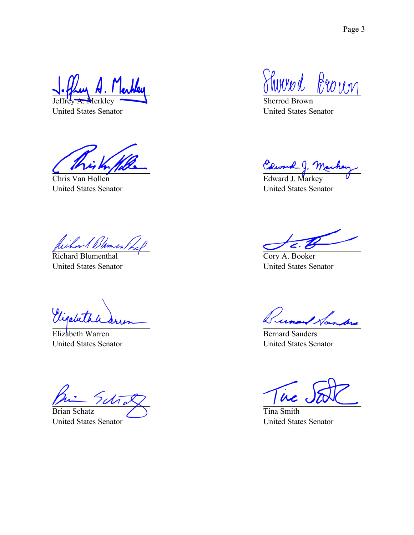Jeffrey A. Merkley

United States Senator

Chris Van Hollen United States Senator

Richard Blumenthal United States Senator

Vigabeth

Elizabeth Warren United States Senator

Brian Schatz

United States Senator

Thomad Brown

Sherrod Brown United States Senator

Edward J. Ma

Edward J. Markey United States Senator

Cory A. Booker United States Senator

Bernard Norm

United States Senator

 $\dot{\bm{\mu}}$ 

Tina Smith United States Senator